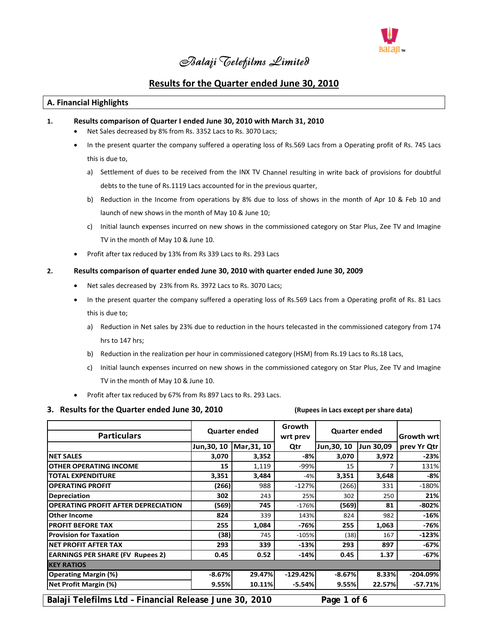

# *Balaji Telefilms Limited*

# **Results for the Quarter ended June 30, 2010**

# **A. Financial Highlights**

#### **1. Results comparison of Quarter I ended June 30, 2010 with March 31, 2010**

- Net Sales decreased by 8% from Rs. 3352 Lacs to Rs. 3070 Lacs;
- In the present quarter the company suffered a operating loss of Rs.569 Lacs from a Operating profit of Rs. 745 Lacs this is due to,

- a) Settlement of dues to be received from the INX TV Channel resulting in write back of provisions for doubtful debts to the tune of Rs.1119 Lacs accounted for in the previous quarter,
- b) Reduction in the Income from operations by 8% due to loss of shows in the month of Apr 10 & Feb 10 and launch of new shows in the month of May 10 & June 10;
- c) Initial launch expenses incurred on new shows in the commissioned category on Star Plus, Zee TV and Imagine TV in the month of May 10 & June 10.
- Profit after tax reduced by 13% from Rs 339 Lacs to Rs. 293 Lacs

## **2. Results comparison of quarter ended June 30, 2010 with quarter ended June 30, 2009**

- Net sales decreased by 23% from Rs. 3972 Lacs to Rs. 3070 Lacs;
- In the present quarter the company suffered a operating loss of Rs.569 Lacs from a Operating profit of Rs. 81 Lacs this is due to;
	- a) Reduction in Net sales by 23% due to reduction in the hours telecasted in the commissioned category from 174 hrs to 147 hrs;
	- b) Reduction in the realization per hour in commissioned category (HSM) from Rs.19 Lacs to Rs.18 Lacs,
	- c) Initial launch expenses incurred on new shows in the commissioned category on Star Plus, Zee TV and Imagine TV in the month of May 10 & June 10.
- Profit after tax reduced by 67% from Rs 897 Lacs to Rs. 293 Lacs.

# 3. Results for the Quarter ended June 30, 2010 (Rupees in Lacs except per share data)

| <b>Particulars</b>                                                    | <b>Quarter ended</b> |             | Growth<br>wrt prev | <b>Quarter ended</b> |           | <b>Growth wrt</b> |
|-----------------------------------------------------------------------|----------------------|-------------|--------------------|----------------------|-----------|-------------------|
|                                                                       | Jun, 30, 10          | Mar, 31, 10 | Qtr                | Jun, 30, 10          | Jun 30,09 | prev Yr Qtr       |
| <b>NET SALES</b>                                                      | 3,070                | 3,352       | $-8%$              | 3,070                | 3,972     | $-23%$            |
| <b>OTHER OPERATING INCOME</b>                                         | 15                   | 1,119       | -99%               | 15                   |           | 131%              |
| <b>TOTAL EXPENDITURE</b>                                              | 3,351                | 3,484       | $-4%$              | 3,351                | 3,648     | $-8%$             |
| <b>OPERATING PROFIT</b>                                               | (266)                | 988         | $-127%$            | (266)                | 331       | $-180%$           |
| <b>Depreciation</b>                                                   | 302                  | 243         | 25%                | 302                  | 250       | 21%               |
| <b>OPERATING PROFIT AFTER DEPRECIATION</b>                            | (569)                | 745         | $-176%$            | (569)                | 81        | $-802%$           |
| <b>Other Income</b>                                                   | 824                  | 339         | 143%               | 824                  | 982       | $-16%$            |
| <b>PROFIT BEFORE TAX</b>                                              | 255                  | 1,084       | $-76%$             | 255                  | 1,063     | -76%              |
| <b>Provision for Taxation</b>                                         | (38)                 | 745         | $-105%$            | (38)                 | 167       | $-123%$           |
| <b>NET PROFIT AFTER TAX</b>                                           | 293                  | 339         | $-13%$             | 293                  | 897       | $-67%$            |
| <b>EARNINGS PER SHARE (FV Rupees 2)</b>                               | 0.45                 | 0.52        | $-14%$             | 0.45                 | 1.37      | $-67%$            |
| <b>KEY RATIOS</b>                                                     |                      |             |                    |                      |           |                   |
| <b>Operating Margin (%)</b>                                           | $-8.67%$             | 29.47%      | $-129.42%$         | $-8.67%$             | 8.33%     | $-204.09%$        |
| <b>Net Profit Margin (%)</b>                                          | 9.55%                | 10.11%      | $-5.54%$           | 9.55%                | 22.57%    | $-57.71%$         |
| Balaji Telefilms Ltd - Financial Release June 30, 2010<br>Page 1 of 6 |                      |             |                    |                      |           |                   |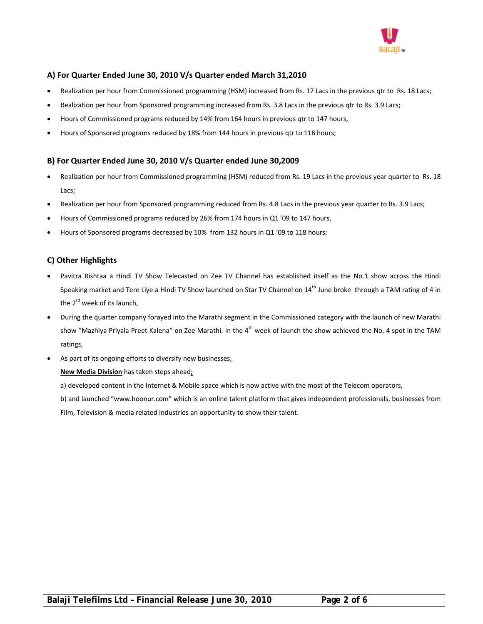

# **A) For Quarter Ended June 30, 2010 V/s Quarter ended March 31,2010**

- Realization per hour from Commissioned programming (HSM) increased from Rs. 17 Lacs in the previous qtr to Rs. 18 Lacs;
- Realization per hour from Sponsored programming increased from Rs. 3.8 Lacs in the previous qtr to Rs. 3.9 Lacs;
- Hours of Commissioned programs reduced by 14% from 164 hours in previous qtr to 147 hours,
- Hours of Sponsored programs reduced by 18% from 144 hours in previous qtr to 118 hours;

# **B) For Quarter Ended June 30, 2010 V/s Quarter ended June 30,2009**

- Realization per hour from Commissioned programming (HSM) reduced from Rs. 19 Lacs in the previous year quarter to Rs. 18 Lacs;
- Realization per hour from Sponsored programming reduced from Rs. 4.8 Lacs in the previous year quarter to Rs. 3.9 Lacs;
- Hours of Commissioned programs reduced by 26% from 174 hours in Q1 '09 to 147 hours,
- Hours of Sponsored programs decreased by 10% from 132 hours in Q1 '09 to 118 hours;

# **C) Other Highlights**

- Pavitra Rishtaa a Hindi TV Show Telecasted on Zee TV Channel has established itself as the No.1 show across the Hindi Speaking market and Tere Liye a Hindi TV Show launched on Star TV Channel on 14<sup>th</sup> June broke through a TAM rating of 4 in the 2<sup>rd</sup> week of its launch,
- During the quarter company forayed into the Marathi segment in the Commissioned category with the launch of new Marathi show "Mazhiya Priyala Preet Kalena" on Zee Marathi. In the 4<sup>th</sup> week of launch the show achieved the No. 4 spot in the TAM ratings,
- As part of its ongoing efforts to diversify new businesses,

**New Media Division** has taken steps ahead**;** 

a) developed content in the Internet & Mobile space which is now active with the most of the Telecom operators,

b) and launched "www.hoonur.com" which is an online talent platform that gives independent professionals, businesses from Film, Television & media related industries an opportunity to show their talent.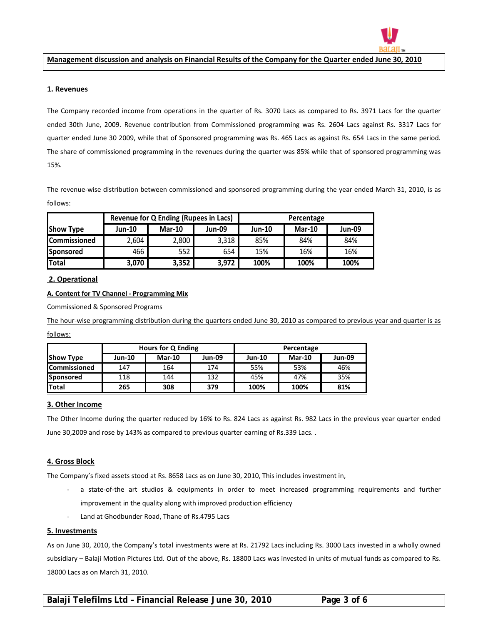

Management discussion and analysis on Financial Results of the Company for the Quarter ended June 30, 2010

#### **1. Revenues**

 $\overline{a}$ 

The Company recorded income from operations in the quarter of Rs. 3070 Lacs as compared to Rs. 3971 Lacs for the quarter ended 30th June, 2009. Revenue contribution from Commissioned programming was Rs. 2604 Lacs against Rs. 3317 Lacs for quarter ended June 30 2009, while that of Sponsored programming was Rs. 465 Lacs as against Rs. 654 Lacs in the same period. The share of commissioned programming in the revenues during the quarter was 85% while that of sponsored programming was 15%.

The revenue-wise distribution between commissioned and sponsored programming during the year ended March 31, 2010, is as follows:

|                  | <b>Revenue for Q Ending (Rupees in Lacs)</b> |               |               | Percentage    |               |               |  |
|------------------|----------------------------------------------|---------------|---------------|---------------|---------------|---------------|--|
| <b>Show Type</b> | Jun-10                                       | <b>Mar-10</b> | <b>Jun-09</b> | <b>Jun-10</b> | <b>Mar-10</b> | <b>Jun-09</b> |  |
| Commissioned     | 2,604                                        | 2,800         | 3,318         | 85%           | 84%           | 84%           |  |
| Sponsored        | 466                                          | 552           | 654           | 15%           | 16%           | 16%           |  |
| <b>Total</b>     | 3,070                                        | 3,352         | 3,972         | 100%          | 100%          | 100%          |  |

# **2. Operational**

## **A. Content for TV Channel ‐ Programming Mix**

Commissioned & Sponsored Programs

The hour-wise programming distribution during the quarters ended June 30, 2010 as compared to previous year and quarter is as

follows:

|                     | <b>Hours for Q Ending</b> |               |               | Percentage    |               |               |  |
|---------------------|---------------------------|---------------|---------------|---------------|---------------|---------------|--|
| <b>Show Type</b>    | <b>Jun-10</b>             | <b>Mar-10</b> | <b>Jun-09</b> | <b>Jun-10</b> | <b>Mar-10</b> | <b>Jun-09</b> |  |
| <b>Commissioned</b> | 147                       | 164           | 174           | 55%           | 53%           | 46%           |  |
| <b>Sponsored</b>    | 118                       | 144           | 132           | 45%           | 47%           | 35%           |  |
| <b>Total</b>        | 265                       | 308           | 379           | 100%          | 100%          | 81%           |  |

# **3. Other Income**

The Other Income during the quarter reduced by 16% to Rs. 824 Lacs as against Rs. 982 Lacs in the previous year quarter ended June 30,2009 and rose by 143% as compared to previous quarter earning of Rs.339 Lacs. .

# **4. Gross Block**

The Company's fixed assets stood at Rs. 8658 Lacs as on June 30, 2010, This includes investment in,

- a state-of-the art studios & equipments in order to meet increased programming requirements and further improvement in the quality along with improved production efficiency
- ‐ Land at Ghodbunder Road, Thane of Rs.4795 Lacs

#### **5. Investments**

As on June 30, 2010, the Company's total investments were at Rs. 21792 Lacs including Rs. 3000 Lacs invested in a wholly owned subsidiary – Balaji Motion Pictures Ltd. Out of the above, Rs. 18800 Lacs was invested in units of mutual funds as compared to Rs. 18000 Lacs as on March 31, 2010.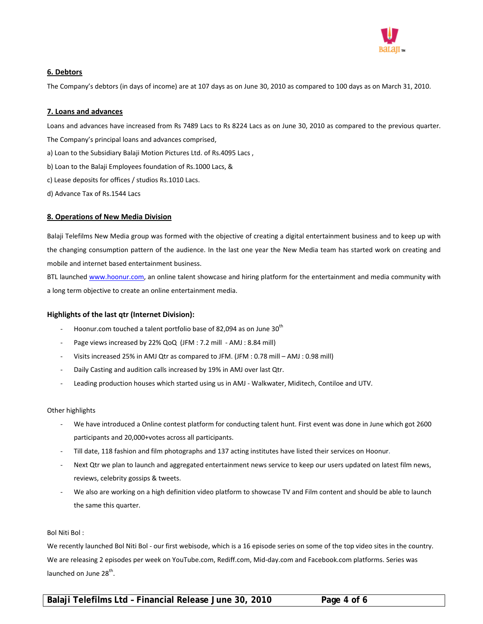

# **6. Debtors**

The Company's debtors (in days of income) are at 107 days as on June 30, 2010 as compared to 100 days as on March 31, 2010.

## **7. Loans and advances**

Loans and advances have increased from Rs 7489 Lacs to Rs 8224 Lacs as on June 30, 2010 as compared to the previous quarter. The Company's principal loans and advances comprised,

- a) Loan to the Subsidiary Balaji Motion Pictures Ltd. of Rs.4095 Lacs ,
- b) Loan to the Balaji Employees foundation of Rs.1000 Lacs, &
- c) Lease deposits for offices / studios Rs.1010 Lacs.
- d) Advance Tax of Rs.1544 Lacs

## **8. Operations of New Media Division**

Balaji Telefilms New Media group was formed with the objective of creating a digital entertainment business and to keep up with the changing consumption pattern of the audience. In the last one year the New Media team has started work on creating and mobile and internet based entertainment business.

BTL launched www.hoonur.com, an online talent showcase and hiring platform for the entertainment and media community with a long term objective to create an online entertainment media.

#### **Highlights of the last qtr (Internet Division):**

- Hoonur.com touched a talent portfolio base of 82,094 as on June 30<sup>th</sup>
- Page views increased by 22% QoQ (JFM : 7.2 mill AMJ : 8.84 mill)
- ‐ Visits increased 25% in AMJ Qtr as compared to JFM. (JFM : 0.78 mill AMJ : 0.98 mill)
- ‐ Daily Casting and audition calls increased by 19% in AMJ over last Qtr.
- Leading production houses which started using us in AMJ Walkwater, Miditech, Contiloe and UTV.

#### Other highlights

- ‐ We have introduced a Online contest platform for conducting talent hunt. First event was done in June which got 2600 participants and 20,000+votes across all participants.
- ‐ Till date, 118 fashion and film photographs and 137 acting institutes have listed their services on Hoonur.
- Next Qtr we plan to launch and aggregated entertainment news service to keep our users updated on latest film news, reviews, celebrity gossips & tweets.
- ‐ We also are working on a high definition video platform to showcase TV and Film content and should be able to launch the same this quarter.

#### Bol Niti Bol :

We recently launched Bol Niti Bol - our first webisode, which is a 16 episode series on some of the top video sites in the country. We are releasing 2 episodes per week on YouTube.com, Rediff.com, Mid‐day.com and Facebook.com platforms. Series was launched on June 28<sup>th</sup>.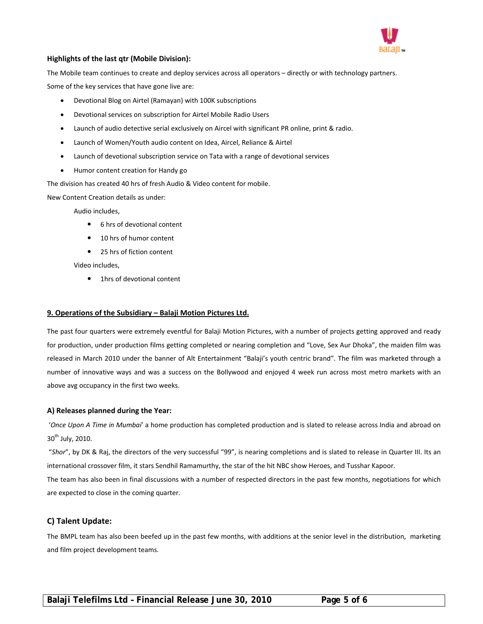

# **Highlights of the last qtr (Mobile Division):**

The Mobile team continues to create and deploy services across all operators – directly or with technology partners. Some of the key services that have gone live are:

- Devotional Blog on Airtel (Ramayan) with 100K subscriptions
- Devotional services on subscription for Airtel Mobile Radio Users
- Launch of audio detective serial exclusively on Aircel with significant PR online, print & radio.
- Launch of Women/Youth audio content on Idea, Aircel, Reliance & Airtel
- Launch of devotional subscription service on Tata with a range of devotional services
- Humor content creation for Handy go

The division has created 40 hrs of fresh Audio & Video content for mobile.

New Content Creation details as under:

Audio includes,

- 6 hrs of devotional content
- 10 hrs of humor content
- 25 hrs of fiction content

Video includes,

• 1hrs of devotional content

#### **9. Operations of the Subsidiary – Balaji Motion Pictures Ltd.**

The past four quarters were extremely eventful for Balaji Motion Pictures, with a number of projects getting approved and ready for production, under production films getting completed or nearing completion and "Love, Sex Aur Dhoka", the maiden film was released in March 2010 under the banner of Alt Entertainment "Balaji's youth centric brand". The film was marketed through a number of innovative ways and was a success on the Bollywood and enjoyed 4 week run across most metro markets with an above avg occupancy in the first two weeks.

#### **A) Releases planned during the Year:**

'*Once Upon A Time in Mumbai*' a home production has completed production and is slated to release across India and abroad on  $30<sup>th</sup>$  July, 2010.

"*Shor*", by DK & Raj, the directors of the very successful "99", is nearing completions and is slated to release in Quarter III. Its an international crossover film, it stars Sendhil Ramamurthy, the star of the hit NBC show Heroes, and Tusshar Kapoor.

The team has also been in final discussions with a number of respected directors in the past few months, negotiations for which are expected to close in the coming quarter.

# **C) Talent Update:**

The BMPL team has also been beefed up in the past few months, with additions at the senior level in the distribution, marketing and film project development teams.